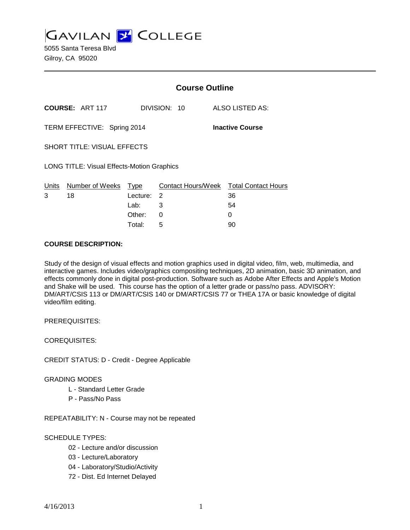**GAVILAN J' COLLEGE** 

5055 Santa Teresa Blvd Gilroy, CA 95020

|                                                   |                        | <b>Course Outline</b> |                         |                                  |
|---------------------------------------------------|------------------------|-----------------------|-------------------------|----------------------------------|
|                                                   | <b>COURSE: ART 117</b> |                       | DIVISION: 10            | ALSO LISTED AS:                  |
| TERM EFFECTIVE: Spring 2014                       |                        |                       |                         | <b>Inactive Course</b>           |
| <b>SHORT TITLE: VISUAL EFFECTS</b>                |                        |                       |                         |                                  |
| <b>LONG TITLE: Visual Effects-Motion Graphics</b> |                        |                       |                         |                                  |
| Units<br>3                                        | Number of Weeks<br>18  | Type<br>Lecture:      | Contact Hours/Week<br>2 | <b>Total Contact Hours</b><br>36 |
|                                                   |                        | Lab:                  | 3                       | 54                               |
|                                                   |                        | Other:                | 0                       | 0                                |

Total: 5 90

### **COURSE DESCRIPTION:**

Study of the design of visual effects and motion graphics used in digital video, film, web, multimedia, and interactive games. Includes video/graphics compositing techniques, 2D animation, basic 3D animation, and effects commonly done in digital post-production. Software such as Adobe After Effects and Apple's Motion and Shake will be used. This course has the option of a letter grade or pass/no pass. ADVISORY: DM/ART/CSIS 113 or DM/ART/CSIS 140 or DM/ART/CSIS 77 or THEA 17A or basic knowledge of digital video/film editing.

PREREQUISITES:

COREQUISITES:

CREDIT STATUS: D - Credit - Degree Applicable

#### GRADING MODES

- L Standard Letter Grade
- P Pass/No Pass

REPEATABILITY: N - Course may not be repeated

# SCHEDULE TYPES:

- 02 Lecture and/or discussion
- 03 Lecture/Laboratory
- 04 Laboratory/Studio/Activity
- 72 Dist. Ed Internet Delayed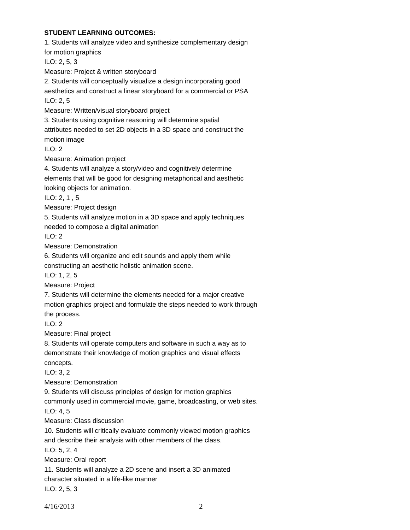# **STUDENT LEARNING OUTCOMES:**

1. Students will analyze video and synthesize complementary design for motion graphics ILO: 2, 5, 3 Measure: Project & written storyboard 2. Students will conceptually visualize a design incorporating good aesthetics and construct a linear storyboard for a commercial or PSA ILO: 2, 5 Measure: Written/visual storyboard project 3. Students using cognitive reasoning will determine spatial attributes needed to set 2D objects in a 3D space and construct the motion image ILO: 2 Measure: Animation project 4. Students will analyze a story/video and cognitively determine elements that will be good for designing metaphorical and aesthetic looking objects for animation. ILO: 2, 1 , 5 Measure: Project design 5. Students will analyze motion in a 3D space and apply techniques needed to compose a digital animation ILO: 2 Measure: Demonstration 6. Students will organize and edit sounds and apply them while constructing an aesthetic holistic animation scene. ILO: 1, 2, 5 Measure: Project 7. Students will determine the elements needed for a major creative motion graphics project and formulate the steps needed to work through the process. ILO: 2 Measure: Final project 8. Students will operate computers and software in such a way as to demonstrate their knowledge of motion graphics and visual effects concepts. ILO: 3, 2 Measure: Demonstration 9. Students will discuss principles of design for motion graphics commonly used in commercial movie, game, broadcasting, or web sites. ILO: 4, 5 Measure: Class discussion 10. Students will critically evaluate commonly viewed motion graphics and describe their analysis with other members of the class. ILO: 5, 2, 4 Measure: Oral report 11. Students will analyze a 2D scene and insert a 3D animated character situated in a life-like manner

ILO: 2, 5, 3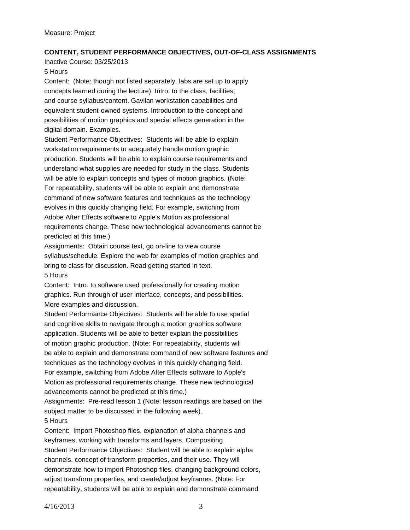# **CONTENT, STUDENT PERFORMANCE OBJECTIVES, OUT-OF-CLASS ASSIGNMENTS**

Inactive Course: 03/25/2013

5 Hours

Content: (Note: though not listed separately, labs are set up to apply concepts learned during the lecture). Intro. to the class, facilities, and course syllabus/content. Gavilan workstation capabilities and equivalent student-owned systems. Introduction to the concept and possibilities of motion graphics and special effects generation in the digital domain. Examples.

Student Performance Objectives: Students will be able to explain workstation requirements to adequately handle motion graphic production. Students will be able to explain course requirements and understand what supplies are needed for study in the class. Students will be able to explain concepts and types of motion graphics. (Note: For repeatability, students will be able to explain and demonstrate command of new software features and techniques as the technology evolves in this quickly changing field. For example, switching from Adobe After Effects software to Apple's Motion as professional requirements change. These new technological advancements cannot be predicted at this time.)

Assignments: Obtain course text, go on-line to view course syllabus/schedule. Explore the web for examples of motion graphics and bring to class for discussion. Read getting started in text. 5 Hours

Content: Intro. to software used professionally for creating motion graphics. Run through of user interface, concepts, and possibilities. More examples and discussion.

Student Performance Objectives: Students will be able to use spatial and cognitive skills to navigate through a motion graphics software application. Students will be able to better explain the possibilities of motion graphic production. (Note: For repeatability, students will be able to explain and demonstrate command of new software features and techniques as the technology evolves in this quickly changing field. For example, switching from Adobe After Effects software to Apple's Motion as professional requirements change. These new technological advancements cannot be predicted at this time.)

Assignments: Pre-read lesson 1 (Note: lesson readings are based on the subject matter to be discussed in the following week). 5 Hours

Content: Import Photoshop files, explanation of alpha channels and keyframes, working with transforms and layers. Compositing. Student Performance Objectives: Student will be able to explain alpha channels, concept of transform properties, and their use. They will demonstrate how to import Photoshop files, changing background colors, adjust transform properties, and create/adjust keyframes. (Note: For repeatability, students will be able to explain and demonstrate command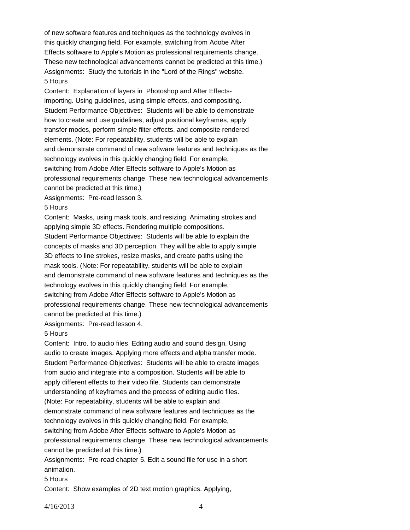of new software features and techniques as the technology evolves in this quickly changing field. For example, switching from Adobe After Effects software to Apple's Motion as professional requirements change. These new technological advancements cannot be predicted at this time.) Assignments: Study the tutorials in the "Lord of the Rings" website. 5 Hours

Content: Explanation of layers in Photoshop and After Effectsimporting. Using guidelines, using simple effects, and compositing. Student Performance Objectives: Students will be able to demonstrate how to create and use guidelines, adjust positional keyframes, apply transfer modes, perform simple filter effects, and composite rendered elements. (Note: For repeatability, students will be able to explain and demonstrate command of new software features and techniques as the technology evolves in this quickly changing field. For example, switching from Adobe After Effects software to Apple's Motion as professional requirements change. These new technological advancements cannot be predicted at this time.)

Assignments: Pre-read lesson 3.

### 5 Hours

Content: Masks, using mask tools, and resizing. Animating strokes and applying simple 3D effects. Rendering multiple compositions. Student Performance Objectives: Students will be able to explain the concepts of masks and 3D perception. They will be able to apply simple 3D effects to line strokes, resize masks, and create paths using the mask tools. (Note: For repeatability, students will be able to explain and demonstrate command of new software features and techniques as the technology evolves in this quickly changing field. For example, switching from Adobe After Effects software to Apple's Motion as professional requirements change. These new technological advancements cannot be predicted at this time.)

Assignments: Pre-read lesson 4.

# 5 Hours

Content: Intro. to audio files. Editing audio and sound design. Using audio to create images. Applying more effects and alpha transfer mode. Student Performance Objectives: Students will be able to create images from audio and integrate into a composition. Students will be able to apply different effects to their video file. Students can demonstrate understanding of keyframes and the process of editing audio files. (Note: For repeatability, students will be able to explain and demonstrate command of new software features and techniques as the technology evolves in this quickly changing field. For example, switching from Adobe After Effects software to Apple's Motion as professional requirements change. These new technological advancements cannot be predicted at this time.)

Assignments: Pre-read chapter 5. Edit a sound file for use in a short animation.

# 5 Hours

Content: Show examples of 2D text motion graphics. Applying,

4/16/2013 4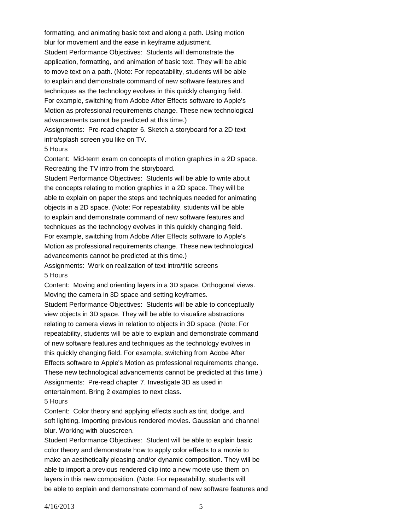formatting, and animating basic text and along a path. Using motion blur for movement and the ease in keyframe adjustment. Student Performance Objectives: Students will demonstrate the application, formatting, and animation of basic text. They will be able to move text on a path. (Note: For repeatability, students will be able to explain and demonstrate command of new software features and techniques as the technology evolves in this quickly changing field. For example, switching from Adobe After Effects software to Apple's Motion as professional requirements change. These new technological advancements cannot be predicted at this time.) Assignments: Pre-read chapter 6. Sketch a storyboard for a 2D text

intro/splash screen you like on TV.

#### 5 Hours

Content: Mid-term exam on concepts of motion graphics in a 2D space. Recreating the TV intro from the storyboard.

Student Performance Objectives: Students will be able to write about the concepts relating to motion graphics in a 2D space. They will be able to explain on paper the steps and techniques needed for animating objects in a 2D space. (Note: For repeatability, students will be able to explain and demonstrate command of new software features and techniques as the technology evolves in this quickly changing field. For example, switching from Adobe After Effects software to Apple's Motion as professional requirements change. These new technological advancements cannot be predicted at this time.) Assignments: Work on realization of text intro/title screens

5 Hours

Content: Moving and orienting layers in a 3D space. Orthogonal views. Moving the camera in 3D space and setting keyframes.

Student Performance Objectives: Students will be able to conceptually view objects in 3D space. They will be able to visualize abstractions relating to camera views in relation to objects in 3D space. (Note: For repeatability, students will be able to explain and demonstrate command of new software features and techniques as the technology evolves in this quickly changing field. For example, switching from Adobe After Effects software to Apple's Motion as professional requirements change. These new technological advancements cannot be predicted at this time.) Assignments: Pre-read chapter 7. Investigate 3D as used in entertainment. Bring 2 examples to next class.

#### 5 Hours

Content: Color theory and applying effects such as tint, dodge, and soft lighting. Importing previous rendered movies. Gaussian and channel blur. Working with bluescreen.

Student Performance Objectives: Student will be able to explain basic color theory and demonstrate how to apply color effects to a movie to make an aesthetically pleasing and/or dynamic composition. They will be able to import a previous rendered clip into a new movie use them on layers in this new composition. (Note: For repeatability, students will be able to explain and demonstrate command of new software features and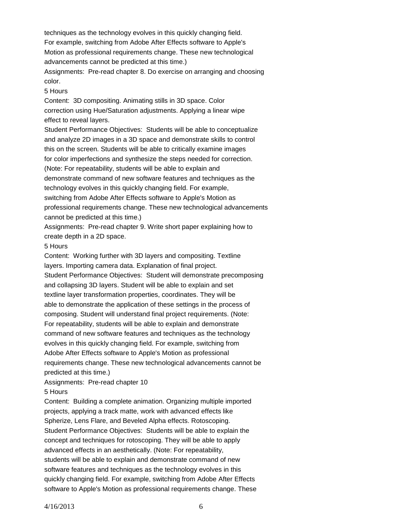techniques as the technology evolves in this quickly changing field. For example, switching from Adobe After Effects software to Apple's Motion as professional requirements change. These new technological advancements cannot be predicted at this time.)

Assignments: Pre-read chapter 8. Do exercise on arranging and choosing color.

#### 5 Hours

Content: 3D compositing. Animating stills in 3D space. Color correction using Hue/Saturation adjustments. Applying a linear wipe effect to reveal layers.

Student Performance Objectives: Students will be able to conceptualize and analyze 2D images in a 3D space and demonstrate skills to control this on the screen. Students will be able to critically examine images for color imperfections and synthesize the steps needed for correction. (Note: For repeatability, students will be able to explain and demonstrate command of new software features and techniques as the technology evolves in this quickly changing field. For example, switching from Adobe After Effects software to Apple's Motion as professional requirements change. These new technological advancements cannot be predicted at this time.)

Assignments: Pre-read chapter 9. Write short paper explaining how to create depth in a 2D space.

#### 5 Hours

Content: Working further with 3D layers and compositing. Textline layers. Importing camera data. Explanation of final project. Student Performance Objectives: Student will demonstrate precomposing and collapsing 3D layers. Student will be able to explain and set textline layer transformation properties, coordinates. They will be able to demonstrate the application of these settings in the process of composing. Student will understand final project requirements. (Note: For repeatability, students will be able to explain and demonstrate command of new software features and techniques as the technology evolves in this quickly changing field. For example, switching from Adobe After Effects software to Apple's Motion as professional requirements change. These new technological advancements cannot be predicted at this time.)

# Assignments: Pre-read chapter 10

# 5 Hours

Content: Building a complete animation. Organizing multiple imported projects, applying a track matte, work with advanced effects like Spherize, Lens Flare, and Beveled Alpha effects. Rotoscoping. Student Performance Objectives: Students will be able to explain the concept and techniques for rotoscoping. They will be able to apply advanced effects in an aesthetically. (Note: For repeatability, students will be able to explain and demonstrate command of new software features and techniques as the technology evolves in this quickly changing field. For example, switching from Adobe After Effects software to Apple's Motion as professional requirements change. These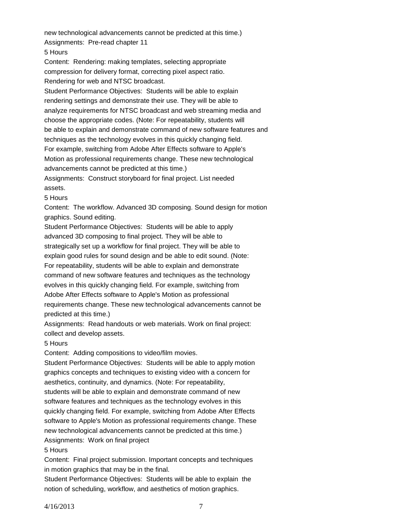new technological advancements cannot be predicted at this time.) Assignments: Pre-read chapter 11

5 Hours

Content: Rendering: making templates, selecting appropriate compression for delivery format, correcting pixel aspect ratio.

Rendering for web and NTSC broadcast.

Student Performance Objectives: Students will be able to explain rendering settings and demonstrate their use. They will be able to analyze requirements for NTSC broadcast and web streaming media and choose the appropriate codes. (Note: For repeatability, students will be able to explain and demonstrate command of new software features and techniques as the technology evolves in this quickly changing field. For example, switching from Adobe After Effects software to Apple's Motion as professional requirements change. These new technological advancements cannot be predicted at this time.) Assignments: Construct storyboard for final project. List needed

assets.

#### 5 Hours

Content: The workflow. Advanced 3D composing. Sound design for motion graphics. Sound editing.

Student Performance Objectives: Students will be able to apply advanced 3D composing to final project. They will be able to strategically set up a workflow for final project. They will be able to explain good rules for sound design and be able to edit sound. (Note: For repeatability, students will be able to explain and demonstrate command of new software features and techniques as the technology evolves in this quickly changing field. For example, switching from Adobe After Effects software to Apple's Motion as professional requirements change. These new technological advancements cannot be predicted at this time.)

Assignments: Read handouts or web materials. Work on final project: collect and develop assets.

#### 5 Hours

Content: Adding compositions to video/film movies.

Student Performance Objectives: Students will be able to apply motion graphics concepts and techniques to existing video with a concern for aesthetics, continuity, and dynamics. (Note: For repeatability, students will be able to explain and demonstrate command of new software features and techniques as the technology evolves in this quickly changing field. For example, switching from Adobe After Effects software to Apple's Motion as professional requirements change. These new technological advancements cannot be predicted at this time.) Assignments: Work on final project

5 Hours

Content: Final project submission. Important concepts and techniques in motion graphics that may be in the final.

Student Performance Objectives: Students will be able to explain the notion of scheduling, workflow, and aesthetics of motion graphics.

4/16/2013 7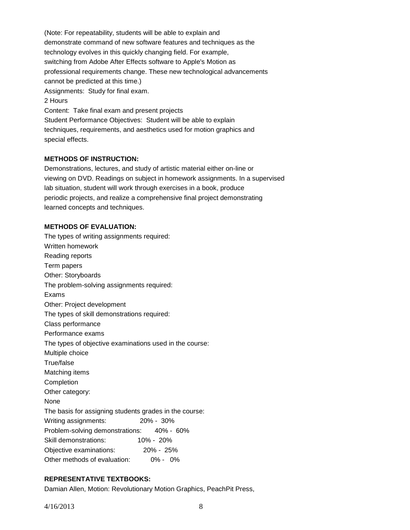(Note: For repeatability, students will be able to explain and demonstrate command of new software features and techniques as the technology evolves in this quickly changing field. For example, switching from Adobe After Effects software to Apple's Motion as professional requirements change. These new technological advancements cannot be predicted at this time.) Assignments: Study for final exam. 2 Hours Content: Take final exam and present projects Student Performance Objectives: Student will be able to explain techniques, requirements, and aesthetics used for motion graphics and special effects.

# **METHODS OF INSTRUCTION:**

Demonstrations, lectures, and study of artistic material either on-line or viewing on DVD. Readings on subject in homework assignments. In a supervised lab situation, student will work through exercises in a book, produce periodic projects, and realize a comprehensive final project demonstrating learned concepts and techniques.

# **METHODS OF EVALUATION:**

The types of writing assignments required: Written homework Reading reports Term papers Other: Storyboards The problem-solving assignments required: Exams Other: Project development The types of skill demonstrations required: Class performance Performance exams The types of objective examinations used in the course: Multiple choice True/false Matching items Completion Other category: None The basis for assigning students grades in the course: Writing assignments: 20% - 30% Problem-solving demonstrations: 40% - 60% Skill demonstrations: 10% - 20% Objective examinations: 20% - 25% Other methods of evaluation: 0% - 0%

# **REPRESENTATIVE TEXTBOOKS:**

Damian Allen, Motion: Revolutionary Motion Graphics, PeachPit Press,

4/16/2013 8